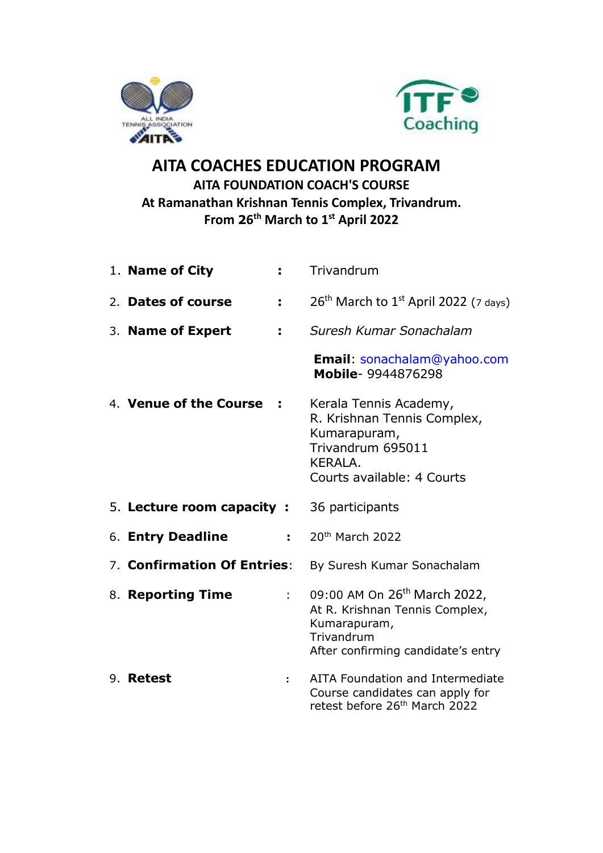



## **AITA COACHES EDUCATION PROGRAM AITA FOUNDATION COACH'S COURSE At Ramanathan Krishnan Tennis Complex, Trivandrum. From 26 th March to 1st April 2022**

| 1. Name of City             |                | Trivandrum                                                                                                                                     |
|-----------------------------|----------------|------------------------------------------------------------------------------------------------------------------------------------------------|
| 2. Dates of course          | ÷.             | $26th$ March to 1 <sup>st</sup> April 2022 (7 days)                                                                                            |
| 3. Name of Expert           | ÷.             | Suresh Kumar Sonachalam                                                                                                                        |
|                             |                | <b>Email: sonachalam@yahoo.com</b><br>Mobile- 9944876298                                                                                       |
| 4. Venue of the Course      |                | Kerala Tennis Academy,<br>R. Krishnan Tennis Complex,<br>Kumarapuram,<br>Trivandrum 695011<br><b>KERALA.</b><br>Courts available: 4 Courts     |
| 5. Lecture room capacity:   |                | 36 participants                                                                                                                                |
| 6. Entry Deadline           | $\mathbf{r}$   | 20 <sup>th</sup> March 2022                                                                                                                    |
| 7. Confirmation Of Entries: |                | By Suresh Kumar Sonachalam                                                                                                                     |
| 8. Reporting Time           | ř,             | 09:00 AM On 26 <sup>th</sup> March 2022,<br>At R. Krishnan Tennis Complex,<br>Kumarapuram,<br>Trivandrum<br>After confirming candidate's entry |
| 9. <b>Retest</b>            | $\ddot{\cdot}$ | AITA Foundation and Intermediate<br>Course candidates can apply for<br>retest before 26 <sup>th</sup> March 2022                               |